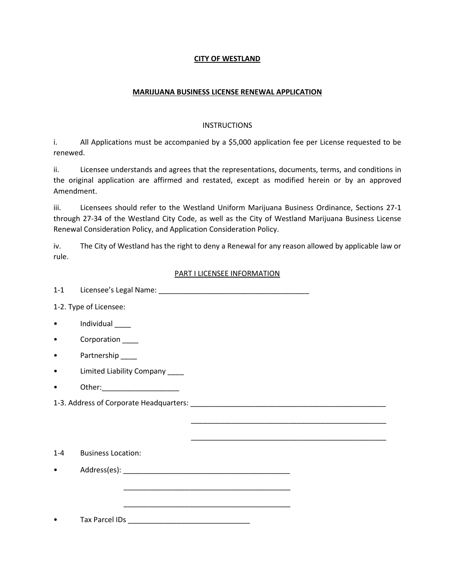# **CITY OF WESTLAND**

# **MARIJUANA BUSINESS LICENSE RENEWAL APPLICATION**

#### **INSTRUCTIONS**

i. All Applications must be accompanied by a \$5,000 application fee per License requested to be renewed.

ii. Licensee understands and agrees that the representations, documents, terms, and conditions in the original application are affirmed and restated, except as modified herein or by an approved Amendment.

iii. Licensees should refer to the Westland Uniform Marijuana Business Ordinance, Sections 27-1 through 27-34 of the Westland City Code, as well as the City of Westland Marijuana Business License Renewal Consideration Policy, and Application Consideration Policy.

iv. The City of Westland has the right to deny a Renewal for any reason allowed by applicable law or rule.

## PART I LICENSEE INFORMATION

\_\_\_\_\_\_\_\_\_\_\_\_\_\_\_\_\_\_\_\_\_\_\_\_\_\_\_\_\_\_\_\_\_\_\_\_\_\_\_\_\_\_\_\_\_\_\_\_

\_\_\_\_\_\_\_\_\_\_\_\_\_\_\_\_\_\_\_\_\_\_\_\_\_\_\_\_\_\_\_\_\_\_\_\_\_\_\_\_\_\_\_\_\_\_\_\_

1-1 Licensee's Legal Name: \_\_\_\_\_\_\_\_\_\_\_\_\_\_\_\_\_\_\_\_\_\_\_\_\_\_\_\_\_\_\_\_\_\_\_\_\_

1-2. Type of Licensee:

- Individual \_\_\_\_
- Corporation \_\_\_\_\_
- Partnership
- Limited Liability Company \_\_\_\_
- Other:

1-3. Address of Corporate Headquarters:  $\blacksquare$ 

1-4 Business Location:

• Address(es):

• Tax Parcel IDs \_\_\_\_\_\_\_\_\_\_\_\_\_\_\_\_\_\_\_\_\_\_\_\_\_\_\_\_\_\_

 $\overline{\phantom{a}}$  , and the contract of the contract of the contract of the contract of the contract of the contract of the contract of the contract of the contract of the contract of the contract of the contract of the contrac

 $\overline{\phantom{a}}$  ,  $\overline{\phantom{a}}$  ,  $\overline{\phantom{a}}$  ,  $\overline{\phantom{a}}$  ,  $\overline{\phantom{a}}$  ,  $\overline{\phantom{a}}$  ,  $\overline{\phantom{a}}$  ,  $\overline{\phantom{a}}$  ,  $\overline{\phantom{a}}$  ,  $\overline{\phantom{a}}$  ,  $\overline{\phantom{a}}$  ,  $\overline{\phantom{a}}$  ,  $\overline{\phantom{a}}$  ,  $\overline{\phantom{a}}$  ,  $\overline{\phantom{a}}$  ,  $\overline{\phantom{a}}$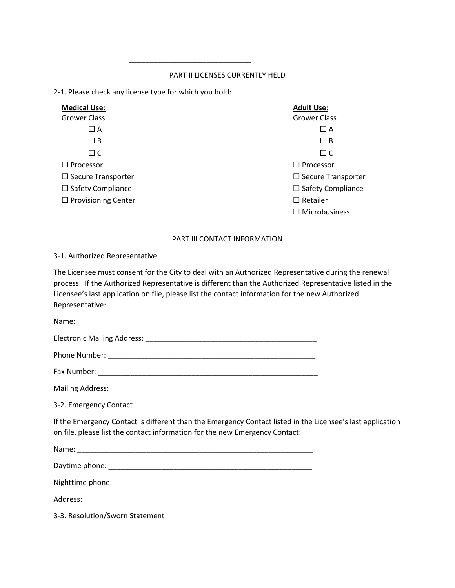# PART II LICENSES CURRENTLY HELD

2-1. Please check any license type for which you hold:

 $\frac{1}{\sqrt{2}}$  ,  $\frac{1}{\sqrt{2}}$  ,  $\frac{1}{\sqrt{2}}$  ,  $\frac{1}{\sqrt{2}}$  ,  $\frac{1}{\sqrt{2}}$  ,  $\frac{1}{\sqrt{2}}$  ,  $\frac{1}{\sqrt{2}}$  ,  $\frac{1}{\sqrt{2}}$  ,  $\frac{1}{\sqrt{2}}$  ,  $\frac{1}{\sqrt{2}}$  ,  $\frac{1}{\sqrt{2}}$  ,  $\frac{1}{\sqrt{2}}$  ,  $\frac{1}{\sqrt{2}}$  ,  $\frac{1}{\sqrt{2}}$  ,  $\frac{1}{\sqrt{2}}$ 

| <b>Medical Use:</b>        | <b>Adult Use:</b>         |
|----------------------------|---------------------------|
| <b>Grower Class</b>        | <b>Grower Class</b>       |
| $\Box$ A                   | $\Box$ A                  |
| $\Box$ B                   | $\Box$ B                  |
| $\Box$ C                   | $\Box$ C                  |
| $\Box$ Processor           | $\Box$ Processor          |
| $\Box$ Secure Transporter  | $\Box$ Secure Transporter |
| $\Box$ Safety Compliance   | $\Box$ Safety Compliance  |
| $\Box$ Provisioning Center | $\Box$ Retailer           |
|                            | $\Box$ Microbusiness      |

#### PART III CONTACT INFORMATION

#### 3-1. Authorized Representative

The Licensee must consent for the City to deal with an Authorized Representative during the renewal process. If the Authorized Representative is different than the Authorized Representative listed in the Licensee's last application on file, please list the contact information for the new Authorized Representative:

Name: \_\_\_\_\_\_\_\_\_\_\_\_\_\_\_\_\_\_\_\_\_\_\_\_\_\_\_\_\_\_\_\_\_\_\_\_\_\_\_\_\_\_\_\_\_\_\_\_\_\_\_\_\_\_\_\_\_\_ Electronic Mailing Address: \_\_\_\_\_\_\_\_\_\_\_\_\_\_\_\_\_\_\_\_\_\_\_\_\_\_\_\_\_\_\_\_\_\_\_\_\_\_\_\_\_\_ Phone Number: \_\_\_\_\_\_\_\_\_\_\_\_\_\_\_\_\_\_\_\_\_\_\_\_\_\_\_\_\_\_\_\_\_\_\_\_\_\_\_\_\_\_\_\_\_\_\_\_\_\_\_ Fax Number: \_\_\_\_\_\_\_\_\_\_\_\_\_\_\_\_\_\_\_\_\_\_\_\_\_\_\_\_\_\_\_\_\_\_\_\_\_\_\_\_\_\_\_\_\_\_\_\_\_\_\_\_\_\_ Mailing Address: \_\_\_\_\_\_\_\_\_\_\_\_\_\_\_\_\_\_\_\_\_\_\_\_\_\_\_\_\_\_\_\_\_\_\_\_\_\_\_\_\_\_\_\_\_\_\_\_\_\_\_

3-2. Emergency Contact

If the Emergency Contact is different than the Emergency Contact listed in the Licensee's last application on file, please list the contact information for the new Emergency Contact:

Name: \_\_\_\_\_\_\_\_\_\_\_\_\_\_\_\_\_\_\_\_\_\_\_\_\_\_\_\_\_\_\_\_\_\_\_\_\_\_\_\_\_\_\_\_\_\_\_\_\_\_\_\_\_\_\_\_\_\_ Daytime phone:

Nighttime phone: \_\_\_\_\_\_\_\_\_\_\_\_\_\_\_\_\_\_\_\_\_\_\_\_\_\_\_\_\_\_\_\_\_\_\_\_\_\_\_\_\_\_\_\_\_\_\_\_\_

Address:

3-3. Resolution/Sworn Statement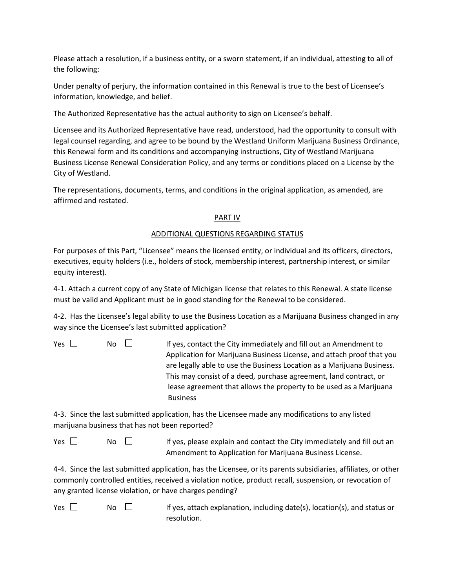Please attach a resolution, if a business entity, or a sworn statement, if an individual, attesting to all of the following:

Under penalty of perjury, the information contained in this Renewal is true to the best of Licensee's information, knowledge, and belief.

The Authorized Representative has the actual authority to sign on Licensee's behalf.

Licensee and its Authorized Representative have read, understood, had the opportunity to consult with legal counsel regarding, and agree to be bound by the Westland Uniform Marijuana Business Ordinance, this Renewal form and its conditions and accompanying instructions, City of Westland Marijuana Business License Renewal Consideration Policy, and any terms or conditions placed on a License by the City of Westland.

The representations, documents, terms, and conditions in the original application, as amended, are affirmed and restated.

## PART IV

## ADDITIONAL QUESTIONS REGARDING STATUS

For purposes of this Part, "Licensee" means the licensed entity, or individual and its officers, directors, executives, equity holders (i.e., holders of stock, membership interest, partnership interest, or similar equity interest).

4-1. Attach a current copy of any State of Michigan license that relates to this Renewal. A state license must be valid and Applicant must be in good standing for the Renewal to be considered.

4-2. Has the Licensee's legal ability to use the Business Location as a Marijuana Business changed in any way since the Licensee's last submitted application?

| Yes $\Box$ | No.<br>$\pm 1$ | If yes, contact the City immediately and fill out an Amendment to      |
|------------|----------------|------------------------------------------------------------------------|
|            |                | Application for Marijuana Business License, and attach proof that you  |
|            |                | are legally able to use the Business Location as a Marijuana Business. |
|            |                | This may consist of a deed, purchase agreement, land contract, or      |
|            |                | lease agreement that allows the property to be used as a Marijuana     |
|            |                | <b>Business</b>                                                        |

4-3. Since the last submitted application, has the Licensee made any modifications to any listed marijuana business that has not been reported?

 $Yes \Box$  No  $\Box$  If yes, please explain and contact the City immediately and fill out an Amendment to Application for Marijuana Business License.

4-4. Since the last submitted application, has the Licensee, or its parents subsidiaries, affiliates, or other commonly controlled entities, received a violation notice, product recall, suspension, or revocation of any granted license violation, or have charges pending?

Yes  $\Box$  No  $\Box$  If yes, attach explanation, including date(s), location(s), and status or resolution.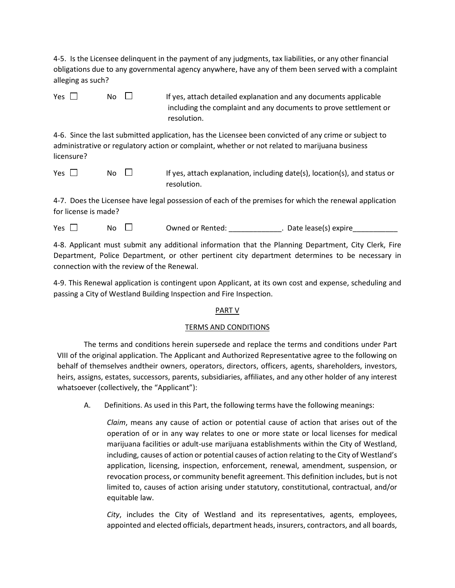4-5. Is the Licensee delinquent in the payment of any judgments, tax liabilities, or any other financial obligations due to any governmental agency anywhere, have any of them been served with a complaint alleging as such?

 $Yes \Box$  No  $\Box$  If yes, attach detailed explanation and any documents applicable including the complaint and any documents to prove settlement or resolution.

4-6. Since the last submitted application, has the Licensee been convicted of any crime or subject to administrative or regulatory action or complaint, whether or not related to marijuana business licensure?

Yes  $\Box$  No  $\Box$  If yes, attach explanation, including date(s), location(s), and status or resolution.

4-7. Does the Licensee have legal possession of each of the premises for which the renewal application for license is made?

 $Yes \Box \qquad No \Box$  Owned or Rented:  $S$  . Date lease(s) expire

4-8. Applicant must submit any additional information that the Planning Department, City Clerk, Fire Department, Police Department, or other pertinent city department determines to be necessary in connection with the review of the Renewal.

4-9. This Renewal application is contingent upon Applicant, at its own cost and expense, scheduling and passing a City of Westland Building Inspection and Fire Inspection.

## PART V

## TERMS AND CONDITIONS

The terms and conditions herein supersede and replace the terms and conditions under Part VIII of the original application. The Applicant and Authorized Representative agree to the following on behalf of themselves andtheir owners, operators, directors, officers, agents, shareholders, investors, heirs, assigns, estates, successors, parents, subsidiaries, affiliates, and any other holder of any interest whatsoever (collectively, the "Applicant"):

A. Definitions. As used in this Part, the following terms have the following meanings:

*Claim*, means any cause of action or potential cause of action that arises out of the operation of or in any way relates to one or more state or local licenses for medical marijuana facilities or adult-use marijuana establishments within the City of Westland, including, causes of action or potential causes of action relating to the City of Westland's application, licensing, inspection, enforcement, renewal, amendment, suspension, or revocation process, or community benefit agreement. This definition includes, but is not limited to, causes of action arising under statutory, constitutional, contractual, and/or equitable law.

*City*, includes the City of Westland and its representatives, agents, employees, appointed and elected officials, department heads, insurers, contractors, and all boards,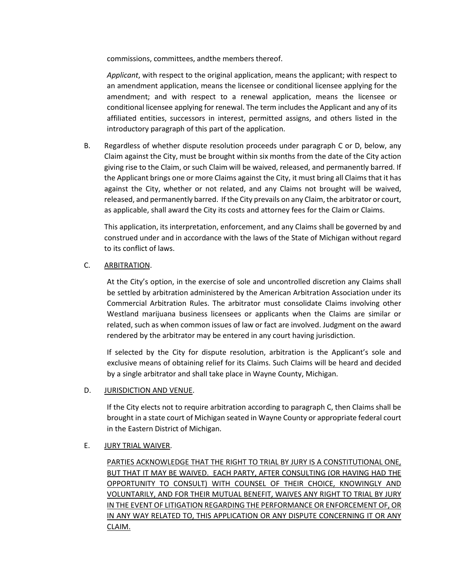commissions, committees, andthe members thereof.

*Applicant*, with respect to the original application, means the applicant; with respect to an amendment application, means the licensee or conditional licensee applying for the amendment; and with respect to a renewal application, means the licensee or conditional licensee applying for renewal. The term includes the Applicant and any of its affiliated entities, successors in interest, permitted assigns, and others listed in the introductory paragraph of this part of the application.

B. Regardless of whether dispute resolution proceeds under paragraph C or D, below, any Claim against the City, must be brought within six months from the date of the City action giving rise to the Claim, or such Claim will be waived, released, and permanently barred. If the Applicant brings one or more Claims against the City, it must bring all Claims that it has against the City, whether or not related, and any Claims not brought will be waived, released, and permanently barred. If the City prevails on any Claim, the arbitrator or court, as applicable, shall award the City its costs and attorney fees for the Claim or Claims.

This application, its interpretation, enforcement, and any Claims shall be governed by and construed under and in accordance with the laws of the State of Michigan without regard to its conflict of laws.

# C. ARBITRATION.

At the City's option, in the exercise of sole and uncontrolled discretion any Claims shall be settled by arbitration administered by the American Arbitration Association under its Commercial Arbitration Rules. The arbitrator must consolidate Claims involving other Westland marijuana business licensees or applicants when the Claims are similar or related, such as when common issues of law or fact are involved. Judgment on the award rendered by the arbitrator may be entered in any court having jurisdiction.

If selected by the City for dispute resolution, arbitration is the Applicant's sole and exclusive means of obtaining relief for its Claims. Such Claims will be heard and decided by a single arbitrator and shall take place in Wayne County, Michigan.

## D. JURISDICTION AND VENUE.

If the City elects not to require arbitration according to paragraph C, then Claims shall be brought in a state court of Michigan seated in Wayne County or appropriate federal court in the Eastern District of Michigan.

## E. JURY TRIAL WAIVER.

PARTIES ACKNOWLEDGE THAT THE RIGHT TO TRIAL BY JURY IS A CONSTITUTIONAL ONE, BUT THAT IT MAY BE WAIVED. EACH PARTY, AFTER CONSULTING (OR HAVING HAD THE OPPORTUNITY TO CONSULT) WITH COUNSEL OF THEIR CHOICE, KNOWINGLY AND VOLUNTARILY, AND FOR THEIR MUTUAL BENEFIT, WAIVES ANY RIGHT TO TRIAL BY JURY IN THE EVENT OF LITIGATION REGARDING THE PERFORMANCE OR ENFORCEMENT OF, OR IN ANY WAY RELATED TO, THIS APPLICATION OR ANY DISPUTE CONCERNING IT OR ANY CLAIM.